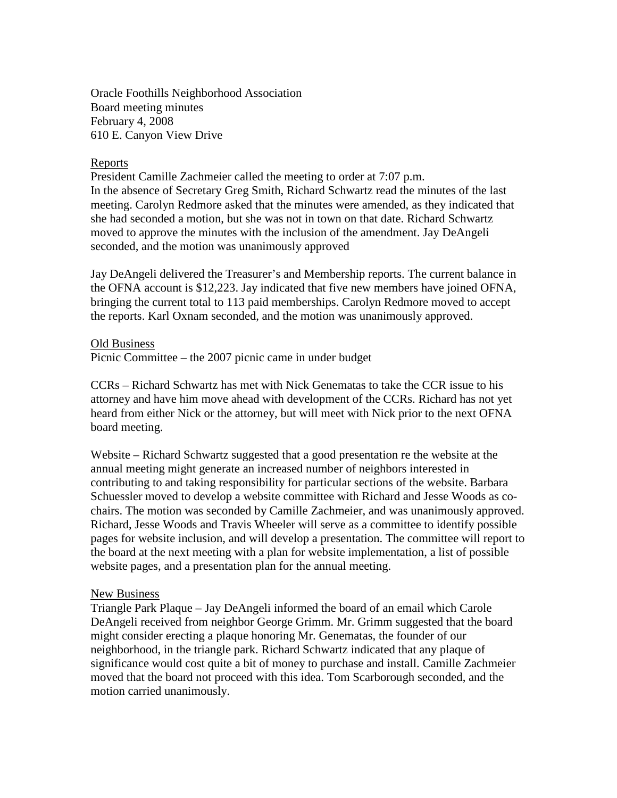Oracle Foothills Neighborhood Association Board meeting minutes February 4, 2008 610 E. Canyon View Drive

## Reports

President Camille Zachmeier called the meeting to order at 7:07 p.m. In the absence of Secretary Greg Smith, Richard Schwartz read the minutes of the last meeting. Carolyn Redmore asked that the minutes were amended, as they indicated that she had seconded a motion, but she was not in town on that date. Richard Schwartz moved to approve the minutes with the inclusion of the amendment. Jay DeAngeli seconded, and the motion was unanimously approved

Jay DeAngeli delivered the Treasurer's and Membership reports. The current balance in the OFNA account is \$12,223. Jay indicated that five new members have joined OFNA, bringing the current total to 113 paid memberships. Carolyn Redmore moved to accept the reports. Karl Oxnam seconded, and the motion was unanimously approved.

## Old Business

Picnic Committee – the 2007 picnic came in under budget

CCRs – Richard Schwartz has met with Nick Genematas to take the CCR issue to his attorney and have him move ahead with development of the CCRs. Richard has not yet heard from either Nick or the attorney, but will meet with Nick prior to the next OFNA board meeting.

Website – Richard Schwartz suggested that a good presentation re the website at the annual meeting might generate an increased number of neighbors interested in contributing to and taking responsibility for particular sections of the website. Barbara Schuessler moved to develop a website committee with Richard and Jesse Woods as cochairs. The motion was seconded by Camille Zachmeier, and was unanimously approved. Richard, Jesse Woods and Travis Wheeler will serve as a committee to identify possible pages for website inclusion, and will develop a presentation. The committee will report to the board at the next meeting with a plan for website implementation, a list of possible website pages, and a presentation plan for the annual meeting.

## New Business

Triangle Park Plaque – Jay DeAngeli informed the board of an email which Carole DeAngeli received from neighbor George Grimm. Mr. Grimm suggested that the board might consider erecting a plaque honoring Mr. Genematas, the founder of our neighborhood, in the triangle park. Richard Schwartz indicated that any plaque of significance would cost quite a bit of money to purchase and install. Camille Zachmeier moved that the board not proceed with this idea. Tom Scarborough seconded, and the motion carried unanimously.